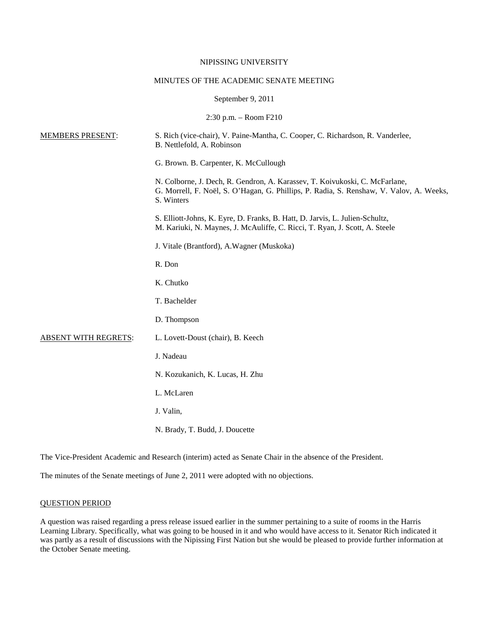# NIPISSING UNIVERSITY

#### MINUTES OF THE ACADEMIC SENATE MEETING

#### September 9, 2011

2:30 p.m. – Room F210

| <b>MEMBERS PRESENT:</b>     | S. Rich (vice-chair), V. Paine-Mantha, C. Cooper, C. Richardson, R. Vanderlee,<br>B. Nettlefold, A. Robinson                                                                         |
|-----------------------------|--------------------------------------------------------------------------------------------------------------------------------------------------------------------------------------|
|                             | G. Brown. B. Carpenter, K. McCullough                                                                                                                                                |
|                             | N. Colborne, J. Dech, R. Gendron, A. Karassev, T. Koivukoski, C. McFarlane,<br>G. Morrell, F. Noël, S. O'Hagan, G. Phillips, P. Radia, S. Renshaw, V. Valov, A. Weeks,<br>S. Winters |
|                             | S. Elliott-Johns, K. Eyre, D. Franks, B. Hatt, D. Jarvis, L. Julien-Schultz,<br>M. Kariuki, N. Maynes, J. McAuliffe, C. Ricci, T. Ryan, J. Scott, A. Steele                          |
|                             | J. Vitale (Brantford), A. Wagner (Muskoka)                                                                                                                                           |
|                             | R. Don                                                                                                                                                                               |
|                             | K. Chutko                                                                                                                                                                            |
|                             | T. Bachelder                                                                                                                                                                         |
|                             | D. Thompson                                                                                                                                                                          |
| <b>ABSENT WITH REGRETS:</b> | L. Lovett-Doust (chair), B. Keech                                                                                                                                                    |
|                             | J. Nadeau                                                                                                                                                                            |
|                             | N. Kozukanich, K. Lucas, H. Zhu                                                                                                                                                      |
|                             | L. McLaren                                                                                                                                                                           |
|                             | J. Valin,                                                                                                                                                                            |
|                             | N. Brady, T. Budd, J. Doucette                                                                                                                                                       |
|                             |                                                                                                                                                                                      |

The Vice-President Academic and Research (interim) acted as Senate Chair in the absence of the President.

The minutes of the Senate meetings of June 2, 2011 were adopted with no objections.

# QUESTION PERIOD

A question was raised regarding a press release issued earlier in the summer pertaining to a suite of rooms in the Harris Learning Library. Specifically, what was going to be housed in it and who would have access to it. Senator Rich indicated it was partly as a result of discussions with the Nipissing First Nation but she would be pleased to provide further information at the October Senate meeting.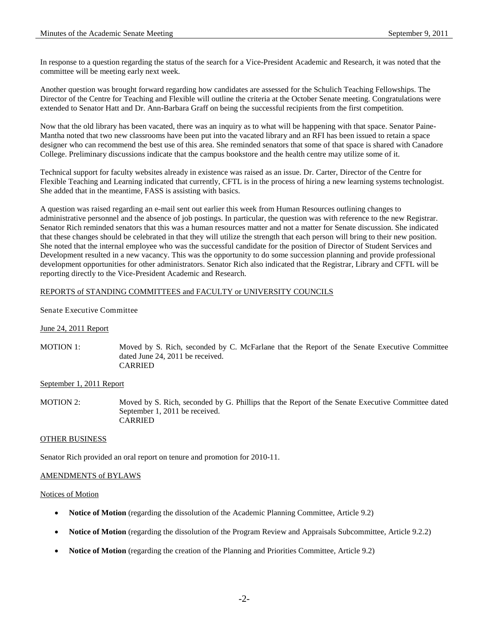In response to a question regarding the status of the search for a Vice-President Academic and Research, it was noted that the committee will be meeting early next week.

Another question was brought forward regarding how candidates are assessed for the Schulich Teaching Fellowships. The Director of the Centre for Teaching and Flexible will outline the criteria at the October Senate meeting. Congratulations were extended to Senator Hatt and Dr. Ann-Barbara Graff on being the successful recipients from the first competition.

Now that the old library has been vacated, there was an inquiry as to what will be happening with that space. Senator Paine-Mantha noted that two new classrooms have been put into the vacated library and an RFI has been issued to retain a space designer who can recommend the best use of this area. She reminded senators that some of that space is shared with Canadore College. Preliminary discussions indicate that the campus bookstore and the health centre may utilize some of it.

Technical support for faculty websites already in existence was raised as an issue. Dr. Carter, Director of the Centre for Flexible Teaching and Learning indicated that currently, CFTL is in the process of hiring a new learning systems technologist. She added that in the meantime, FASS is assisting with basics.

A question was raised regarding an e-mail sent out earlier this week from Human Resources outlining changes to administrative personnel and the absence of job postings. In particular, the question was with reference to the new Registrar. Senator Rich reminded senators that this was a human resources matter and not a matter for Senate discussion. She indicated that these changes should be celebrated in that they will utilize the strength that each person will bring to their new position. She noted that the internal employee who was the successful candidate for the position of Director of Student Services and Development resulted in a new vacancy. This was the opportunity to do some succession planning and provide professional development opportunities for other administrators. Senator Rich also indicated that the Registrar, Library and CFTL will be reporting directly to the Vice-President Academic and Research.

# REPORTS of STANDING COMMITTEES and FACULTY or UNIVERSITY COUNCILS

### Senate Executive Committee

# June 24, 2011 Report

MOTION 1: Moved by S. Rich, seconded by C. McFarlane that the Report of the Senate Executive Committee dated June 24, 2011 be received. CARRIED

# September 1, 2011 Report

MOTION 2: Moved by S. Rich, seconded by G. Phillips that the Report of the Senate Executive Committee dated September 1, 2011 be received. CARRIED

#### OTHER BUSINESS

Senator Rich provided an oral report on tenure and promotion for 2010-11.

#### AMENDMENTS of BYLAWS

#### Notices of Motion

- **Notice of Motion** (regarding the dissolution of the Academic Planning Committee, Article 9.2)
- **Notice of Motion** (regarding the dissolution of the Program Review and Appraisals Subcommittee, Article 9.2.2)
- **Notice of Motion** (regarding the creation of the Planning and Priorities Committee, Article 9.2)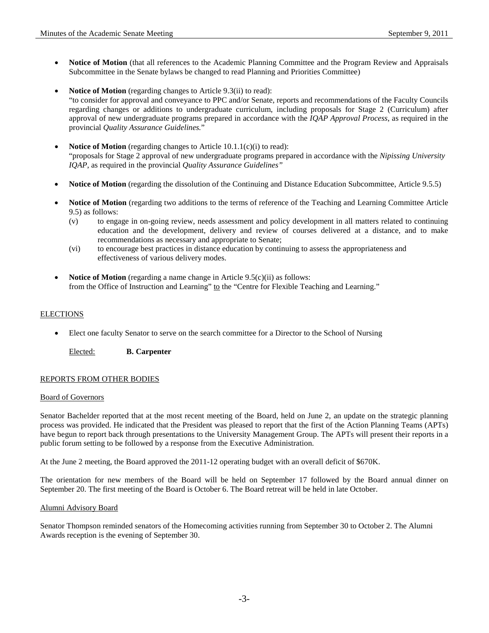- **Notice of Motion** (that all references to the Academic Planning Committee and the Program Review and Appraisals Subcommittee in the Senate bylaws be changed to read Planning and Priorities Committee)
- **Notice of Motion** (regarding changes to Article 9.3(ii) to read): "to consider for approval and conveyance to PPC and/or Senate, reports and recommendations of the Faculty Councils regarding changes or additions to undergraduate curriculum, including proposals for Stage 2 (Curriculum) after approval of new undergraduate programs prepared in accordance with the *IQAP Approval Process*, as required in the provincial *Quality Assurance Guidelines.*"
- Notice of Motion (regarding changes to Article 10.1.1(c)(i) to read): "proposals for Stage 2 approval of new undergraduate programs prepared in accordance with the *Nipissing University IQAP*, as required in the provincial *Quality Assurance Guidelines"*
- **Notice of Motion** (regarding the dissolution of the Continuing and Distance Education Subcommittee, Article 9.5.5)
- **Notice of Motion** (regarding two additions to the terms of reference of the Teaching and Learning Committee Article 9.5) as follows:
	- (v) to engage in on-going review, needs assessment and policy development in all matters related to continuing education and the development, delivery and review of courses delivered at a distance, and to make recommendations as necessary and appropriate to Senate;
	- (vi) to encourage best practices in distance education by continuing to assess the appropriateness and effectiveness of various delivery modes.
- **Notice of Motion** (regarding a name change in Article 9.5(c)(ii) as follows: from the Office of Instruction and Learning" to the "Centre for Flexible Teaching and Learning."

# ELECTIONS

• Elect one faculty Senator to serve on the search committee for a Director to the School of Nursing

Elected: **B. Carpenter**

# REPORTS FROM OTHER BODIES

#### Board of Governors

Senator Bachelder reported that at the most recent meeting of the Board, held on June 2, an update on the strategic planning process was provided. He indicated that the President was pleased to report that the first of the Action Planning Teams (APTs) have begun to report back through presentations to the University Management Group. The APTs will present their reports in a public forum setting to be followed by a response from the Executive Administration.

At the June 2 meeting, the Board approved the 2011-12 operating budget with an overall deficit of \$670K.

The orientation for new members of the Board will be held on September 17 followed by the Board annual dinner on September 20. The first meeting of the Board is October 6. The Board retreat will be held in late October.

#### Alumni Advisory Board

Senator Thompson reminded senators of the Homecoming activities running from September 30 to October 2. The Alumni Awards reception is the evening of September 30.